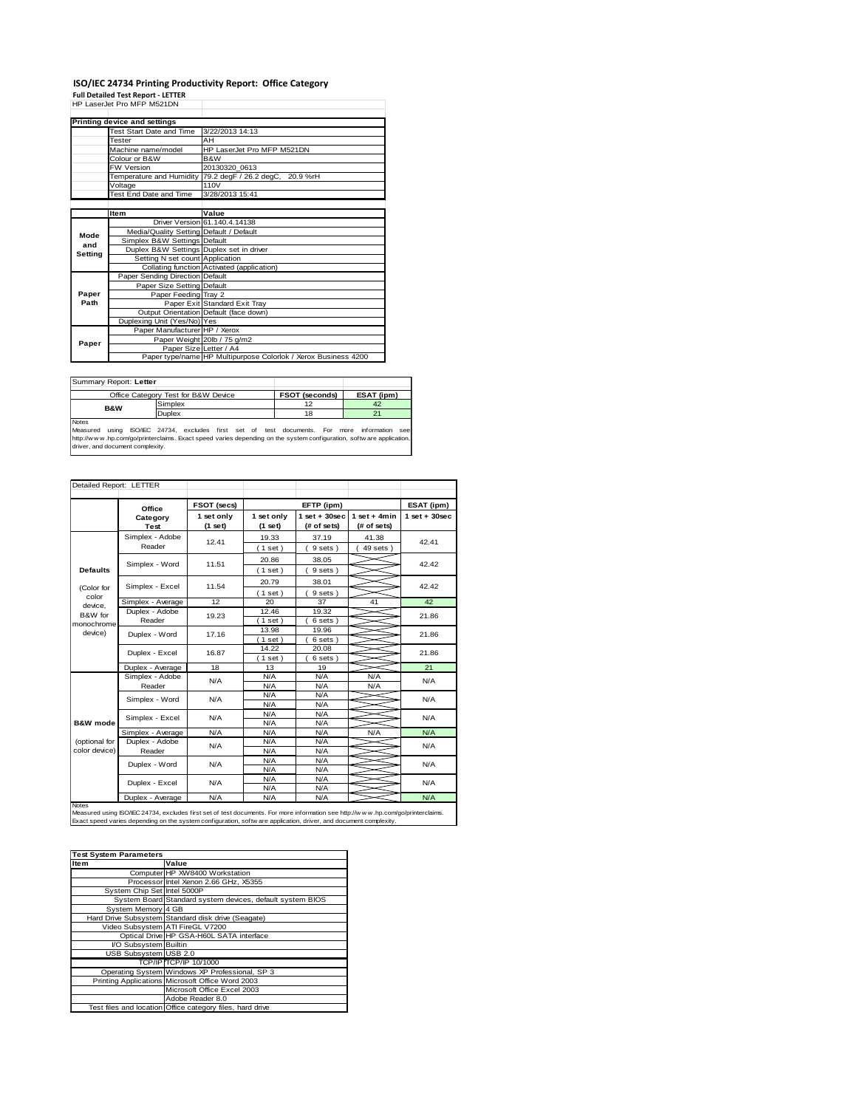## **ISO/IEC 24734 Printing Productivity Report: Office Category Full Detailed Test Report - LETTER** HP LaserJet Pro MFP M521DN

|         | HP LaserJet Pro MFP M521DN               |                                                                |  |  |
|---------|------------------------------------------|----------------------------------------------------------------|--|--|
|         | Printing device and settings             |                                                                |  |  |
|         | Test Start Date and Time                 | 3/22/2013 14:13                                                |  |  |
|         | Tester                                   | AH                                                             |  |  |
|         | Machine name/model                       | HP LaserJet Pro MFP M521DN                                     |  |  |
|         | Colour or B&W                            | B&W                                                            |  |  |
|         | FW Version                               | 20130320 0613                                                  |  |  |
|         |                                          | Temperature and Humidity 79.2 degF / 26.2 degC, 20.9 %rH       |  |  |
|         | Voltage                                  | 110V                                                           |  |  |
|         | Test End Date and Time                   | 3/28/2013 15:41                                                |  |  |
|         |                                          |                                                                |  |  |
|         | Item                                     | Value                                                          |  |  |
|         |                                          | Driver Version 61, 140, 4, 14138                               |  |  |
| Mode    | Media/Quality Setting Default / Default  |                                                                |  |  |
| and     | Simplex B&W Settings Default             |                                                                |  |  |
| Setting | Duplex B&W Settings Duplex set in driver |                                                                |  |  |
|         | Setting N set count Application          |                                                                |  |  |
|         |                                          | Collating function Activated (application)                     |  |  |
|         | Paper Sending Direction Default          |                                                                |  |  |
|         | Paper Size Setting Default               |                                                                |  |  |
| Paper   | Paper Feeding Tray 2                     |                                                                |  |  |
| Path    |                                          | Paper Exit Standard Exit Tray                                  |  |  |
|         |                                          | Output Orientation Default (face down)                         |  |  |
|         | Duplexing Unit (Yes/No) Yes              |                                                                |  |  |
|         | Paper Manufacturer HP / Xerox            |                                                                |  |  |
| Paper   |                                          | Paper Weight 20lb / 75 g/m2                                    |  |  |
|         | Paper Size Letter / A4                   |                                                                |  |  |
|         |                                          | Paper type/name HP Multipurpose Colorlok / Xerox Business 4200 |  |  |

| Summary Report: Letter            |                                                               |                       |                    |  |
|-----------------------------------|---------------------------------------------------------------|-----------------------|--------------------|--|
|                                   | Office Category Test for B&W Device                           | <b>FSOT (seconds)</b> | ESAT (ipm)         |  |
| <b>B&amp;W</b>                    | Simplex                                                       | 12                    | 42                 |  |
|                                   | Duplex                                                        | 18                    |                    |  |
| <b>Notes</b><br>Measured<br>usina | ISO/IEC 24734, excludes first set of test documents. For more |                       | see<br>information |  |

hotes<br>Measured using ISO/IEC 24734, excludes first set of test documents. For more information see<br>http://w w w h.p.com/go/printerclaims. Exact speed varies depending on the system configuration, softw are application,<br>dri

|                     | Office            | FSOT (secs)           |                       | EFTP (ipm)                     |                                | ESAT (ipm)      |  |
|---------------------|-------------------|-----------------------|-----------------------|--------------------------------|--------------------------------|-----------------|--|
|                     | Category<br>Test  | 1 set only<br>(1 set) | 1 set only<br>(1 set) | $1$ set + 30sec<br>(# of sets) | $1 set + 4 min$<br>(# of sets) | $1$ set + 30sec |  |
|                     | Simplex - Adobe   | 12.41                 | 19.33                 | 37.19                          | 41.38                          | 42.41           |  |
|                     | Reader            |                       | (1 set)               | 9 sets)                        | $49$ sets $)$                  |                 |  |
|                     | Simplex - Word    | 11.51                 | 20.86                 | 38.05                          |                                | 42.42           |  |
| <b>Defaults</b>     |                   |                       | (1 set)               | 9 sets)                        |                                |                 |  |
|                     |                   |                       | 20.79                 | 38.01                          |                                |                 |  |
| (Color for          | Simplex - Excel   | 11.54                 | (1 set)               | 9 sets)                        |                                | 42.42           |  |
| color<br>device.    | Simplex - Average | 12                    | 20                    | 37                             | 41                             | 42              |  |
| B&W for             | Duplex - Adobe    | 19.23                 | 12.46                 | 19.32                          |                                | 21.86           |  |
| monochrome          | Reader            |                       | (1 set)               | 6 sets                         |                                |                 |  |
| device)             | Duplex - Word     | 17.16                 | 13.98                 | 19.96                          |                                | 21.86           |  |
|                     |                   |                       | (1 set)               | 6 sets 1                       |                                |                 |  |
|                     | Duplex - Excel    | 16.87                 | 14.22                 | 20.08                          |                                | 21.86           |  |
|                     |                   |                       | (1 set)               | 6 sets                         |                                |                 |  |
|                     | Duplex - Average  | 18                    | 13                    | 19                             |                                | 21              |  |
|                     | Simplex - Adobe   | N/A                   | N/A                   | N/A                            | N/A                            | N/A             |  |
|                     | Reader            |                       | N/A                   | N/A                            | N/A                            |                 |  |
|                     | Simplex - Word    | N/A                   | N/A<br>N/A            | N/A<br>N/A                     |                                | N/A             |  |
|                     |                   |                       | N/A                   | N/A                            |                                |                 |  |
| <b>B&amp;W</b> mode | Simplex - Excel   | N/A                   | N/A                   | N/A                            |                                | N/A             |  |
|                     | Simplex - Average | N/A                   | N/A                   | N/A                            | N/A                            | N/A             |  |
| (optional for       | Duplex - Adobe    |                       | N/A                   | N/A                            |                                |                 |  |
| color device)       | Reader            | N/A                   | N/A                   | N/A                            |                                | N/A             |  |
|                     |                   |                       | N/A                   | N/A                            |                                |                 |  |
|                     | Duplex - Word     | N/A                   | N/A                   | N/A                            |                                | N/A             |  |
|                     |                   |                       | N/A                   | N/A                            |                                |                 |  |
|                     | Duplex - Excel    | N/A                   | N/A                   | N/A                            |                                | N/A             |  |
|                     | Duplex - Average  | N/A                   | N/A                   | N/A                            |                                | N/A             |  |
| <b>Notes</b>        |                   |                       |                       |                                |                                |                 |  |

| <b>Test System Parameters</b> |                                                           |  |  |  |  |
|-------------------------------|-----------------------------------------------------------|--|--|--|--|
| <b>Item</b>                   | Value                                                     |  |  |  |  |
|                               | Computer HP XW8400 Workstation                            |  |  |  |  |
|                               | Processor Intel Xenon 2.66 GHz, X5355                     |  |  |  |  |
| System Chip Set Intel 5000P   |                                                           |  |  |  |  |
|                               | System Board Standard system devices, default system BIOS |  |  |  |  |
| System Memory 4 GB            |                                                           |  |  |  |  |
|                               | Hard Drive Subsystem Standard disk drive (Seagate)        |  |  |  |  |
|                               | Video Subsystem ATI FireGL V7200                          |  |  |  |  |
|                               | Optical Drive HP GSA-H60L SATA interface                  |  |  |  |  |
| I/O Subsystem Builtin         |                                                           |  |  |  |  |
| <b>USB Subsystem USB 2.0</b>  |                                                           |  |  |  |  |
|                               | TCP/IP TCP/IP 10/1000                                     |  |  |  |  |
|                               | Operating System Windows XP Professional, SP 3            |  |  |  |  |
|                               | Printing Applications Microsoft Office Word 2003          |  |  |  |  |
|                               | Microsoft Office Excel 2003                               |  |  |  |  |
|                               | Adobe Reader 8.0                                          |  |  |  |  |
|                               | Test files and location Office category files, hard drive |  |  |  |  |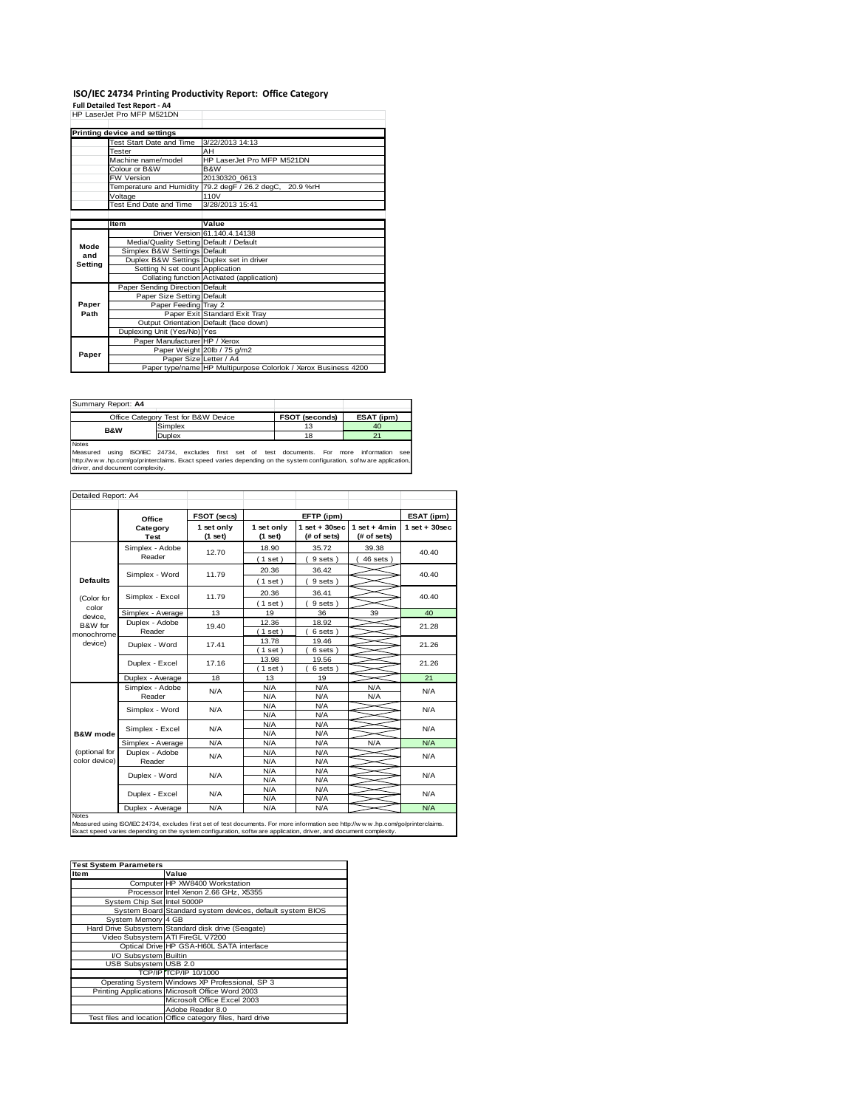# **ISO/IEC 24734 Printing Productivity Report: Office Category Full Detailed Test Report - A4** HP LaserJet Pro MFP M521DN

|         | пг Laseijel гiu miгг moziun              |                                                                |  |  |
|---------|------------------------------------------|----------------------------------------------------------------|--|--|
|         | Printing device and settings             |                                                                |  |  |
|         | Test Start Date and Time                 | 3/22/2013 14:13                                                |  |  |
|         | Tester                                   | AH                                                             |  |  |
|         | Machine name/model                       | HP LaserJet Pro MFP M521DN                                     |  |  |
|         | Colour or B&W                            | B&W                                                            |  |  |
|         | <b>FW Version</b>                        | 20130320 0613                                                  |  |  |
|         |                                          | Temperature and Humidity 79.2 degF / 26.2 degC, 20.9 %rH       |  |  |
|         | Voltage                                  | 110V                                                           |  |  |
|         | Test End Date and Time                   | 3/28/2013 15:41                                                |  |  |
|         |                                          |                                                                |  |  |
|         | Item                                     | Value                                                          |  |  |
|         |                                          | Driver Version 61.140.4.14138                                  |  |  |
| Mode    | Media/Quality Setting Default / Default  |                                                                |  |  |
| and     | Simplex B&W Settings Default             |                                                                |  |  |
| Setting | Duplex B&W Settings Duplex set in driver |                                                                |  |  |
|         | Setting N set count Application          |                                                                |  |  |
|         |                                          | Collating function Activated (application)                     |  |  |
|         | Paper Sending Direction Default          |                                                                |  |  |
|         | Paper Size Setting Default               |                                                                |  |  |
| Paper   | Paper Feeding Tray 2                     |                                                                |  |  |
| Path    |                                          | Paper Exit Standard Exit Tray                                  |  |  |
|         |                                          | Output Orientation Default (face down)                         |  |  |
|         | Duplexing Unit (Yes/No) Yes              |                                                                |  |  |
|         | Paper Manufacturer HP / Xerox            |                                                                |  |  |
| Paper   |                                          | Paper Weight 20lb / 75 g/m2                                    |  |  |
|         |                                          | Paper Size Letter / A4                                         |  |  |
|         |                                          | Paper type/name HP Multipurpose Colorlok / Xerox Business 4200 |  |  |

**FSOT (seconds) ESAT (ipm)** Simplex 13 40<br>
Duplex 18 21 Duplex 18 21 Notes Measured using ISO/IEC 24734, excludes first set of test documents. For more information see Summary Report: **A4** Office Category Test for B&W Device **B&W** hotes<br>Measured using ISO/IEC 24734, excludes first set of test documents. For more information see<br>http://w w w hp.com/go/printerclaims. Exact speed varies depending on the system configuration, softw are application,<br>driv

|                  | Office            | FSOT (secs)           |                       | EFTP (ipm)                     |                               | ESAT (ipm)      |
|------------------|-------------------|-----------------------|-----------------------|--------------------------------|-------------------------------|-----------------|
|                  | Category<br>Test  | 1 set only<br>(1 set) | 1 set only<br>(1 set) | $1$ set + 30sec<br>(# of sets) | $1$ set + 4min<br>(# of sets) | $1$ set + 30sec |
|                  | Simplex - Adobe   | 12.70                 | 18.90                 | 35.72                          | 39.38                         | 40.40           |
|                  | Reader            |                       | (1 set)               | 9 sets)                        | $46$ sets $)$                 |                 |
|                  | Simplex - Word    | 11.79                 | 20.36                 | 36.42                          |                               | 40.40           |
| <b>Defaults</b>  |                   |                       | (1 set)               | 9 sets)                        |                               |                 |
|                  |                   |                       | 20.36                 | 36.41                          |                               |                 |
| (Color for       | Simplex - Excel   | 11.79                 | (1 set)               | 9 sets)                        |                               | 40.40           |
| color<br>device. | Simplex - Average | 13                    | 19                    | 36                             | 39                            | 40              |
| B&W for          | Duplex - Adobe    | 19.40                 | 12.36                 | 18.92                          |                               | 21.28           |
| monochrome       | Reader            |                       | (1 set)               | 6 sets 1                       |                               |                 |
| device)          | Duplex - Word     | 17.41                 | 13.78                 | 19.46                          |                               | 21.26           |
|                  |                   |                       | $(1$ set)             | 6 sets                         |                               |                 |
|                  | Duplex - Excel    | 17.16                 | 13.98                 | 19.56                          |                               | 21.26           |
|                  |                   |                       | (1 set)               | 6 sets 1                       |                               |                 |
|                  | Duplex - Average  | 18                    | 13                    | 19                             |                               | 21              |
|                  | Simplex - Adobe   | N/A                   | N/A                   | N/A                            | N/A                           | N/A             |
|                  | Reader            |                       | N/A                   | N/A                            | N/A                           |                 |
|                  | Simplex - Word    | N/A                   | N/A                   | N/A                            |                               | N/A<br>N/A      |
|                  |                   |                       | N/A                   | N/A                            |                               |                 |
|                  | Simplex - Excel   | N/A                   | N/A                   | N/A                            |                               |                 |
| B&W mode         |                   |                       | N/A                   | N/A                            |                               |                 |
|                  | Simplex - Average | N/A                   | N/A                   | N/A                            | N/A                           | N/A             |
| (optional for    | Duplex - Adobe    | N/A                   | N/A                   | N/A                            |                               | N/A             |
| color device)    | Reader            |                       | N/A                   | N/A                            |                               |                 |
|                  | Duplex - Word     | N/A                   | N/A                   | N/A                            |                               | N/A             |
|                  |                   |                       | N/A                   | N/A                            |                               |                 |
|                  | Duplex - Excel    | N/A                   | N/A                   | N/A                            |                               | N/A             |
|                  |                   |                       | N/A                   | N/A                            |                               |                 |
|                  | Duplex - Average  | N/A                   | N/A                   | N/A                            |                               | N/A             |

| <b>Test System Parameters</b> |                                                           |
|-------------------------------|-----------------------------------------------------------|
| Item                          | Value                                                     |
|                               | Computer HP XW8400 Workstation                            |
|                               | Processor Intel Xenon 2.66 GHz, X5355                     |
| System Chip Set Intel 5000P   |                                                           |
|                               | System Board Standard system devices, default system BIOS |
| System Memory 4 GB            |                                                           |
|                               | Hard Drive Subsystem Standard disk drive (Seagate)        |
|                               | Video Subsystem ATI FireGL V7200                          |
|                               | Optical Drive HP GSA-H60L SATA interface                  |
| I/O Subsystem Builtin         |                                                           |
| USB Subsystem USB 2.0         |                                                           |
|                               | TCP/IP TCP/IP 10/1000                                     |
|                               | Operating System Windows XP Professional, SP 3            |
|                               | Printing Applications Microsoft Office Word 2003          |
|                               | Microsoft Office Excel 2003                               |
|                               | Adobe Reader 8.0                                          |
|                               | Test files and location Office category files, hard drive |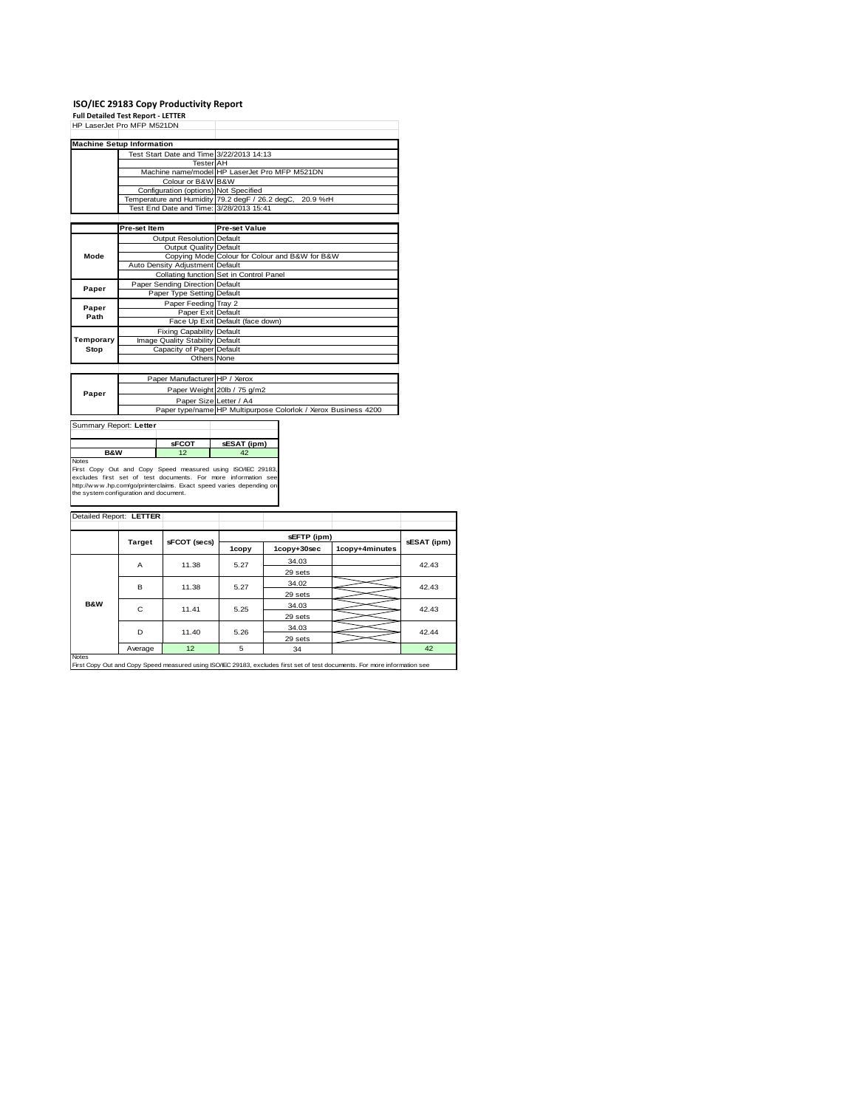# **ISO/IEC 29183 Copy Productivity Report Full Detailed Test Report - LETTER** HP LaserJet Pro MFP M521DN

|                                          | <b>Machine Setup Information</b>                           |                                                                |  |  |  |  |
|------------------------------------------|------------------------------------------------------------|----------------------------------------------------------------|--|--|--|--|
|                                          | Test Start Date and Time 3/22/2013 14:13                   |                                                                |  |  |  |  |
|                                          | <b>Tester AH</b>                                           |                                                                |  |  |  |  |
|                                          |                                                            | Machine name/model HP LaserJet Pro MFP M521DN                  |  |  |  |  |
|                                          | Colour or B&W B&W                                          |                                                                |  |  |  |  |
|                                          | Configuration (options) Not Specified                      |                                                                |  |  |  |  |
|                                          |                                                            | Temperature and Humidity 79.2 degF / 26.2 degC, 20.9 %rH       |  |  |  |  |
|                                          | Test End Date and Time: 3/28/2013 15:41                    |                                                                |  |  |  |  |
|                                          |                                                            |                                                                |  |  |  |  |
|                                          | Pre-set Item                                               | <b>Pre-set Value</b>                                           |  |  |  |  |
|                                          | Output Resolution Default                                  |                                                                |  |  |  |  |
|                                          | Output Quality Default                                     |                                                                |  |  |  |  |
| Mode                                     |                                                            | Copying Mode Colour for Colour and B&W for B&W                 |  |  |  |  |
|                                          | Auto Density Adjustment Default                            |                                                                |  |  |  |  |
|                                          |                                                            | Collating function Set in Control Panel                        |  |  |  |  |
| Paper Sending Direction Default<br>Paper |                                                            |                                                                |  |  |  |  |
|                                          | Paper Type Setting Default                                 |                                                                |  |  |  |  |
| Paper                                    | Paper Feeding Tray 2                                       |                                                                |  |  |  |  |
| Path                                     | Paper Exit Default                                         |                                                                |  |  |  |  |
|                                          |                                                            | Face Up Exit Default (face down)                               |  |  |  |  |
|                                          | <b>Fixing Capability Default</b>                           |                                                                |  |  |  |  |
| Temporary                                | Image Quality Stability                                    | Default                                                        |  |  |  |  |
| Stop                                     | Capacity of Paper Default                                  |                                                                |  |  |  |  |
|                                          | Others None                                                |                                                                |  |  |  |  |
|                                          |                                                            |                                                                |  |  |  |  |
|                                          | Paper Manufacturer HP / Xerox                              |                                                                |  |  |  |  |
|                                          |                                                            | Paper Weight 20lb / 75 g/m2                                    |  |  |  |  |
| Paper                                    |                                                            | Paper Size Letter / A4                                         |  |  |  |  |
|                                          |                                                            | Paper type/name HP Multipurpose Colorlok / Xerox Business 4200 |  |  |  |  |
|                                          |                                                            |                                                                |  |  |  |  |
| Summary Report: Letter                   |                                                            |                                                                |  |  |  |  |
|                                          |                                                            |                                                                |  |  |  |  |
|                                          | <b>sFCOT</b>                                               | sESAT (ipm)                                                    |  |  |  |  |
| <b>B&amp;W</b>                           | 12                                                         | 42                                                             |  |  |  |  |
| Notes                                    | First Copy Out and Copy Speed measured using ISO/IEC 20183 |                                                                |  |  |  |  |

Notes<br>First Copy Out and Copy Speed measured using ISO/IEC 29183,<br>excludes first set of test documents. For more information see<br>http://www.hp.com/go/printerclaims. Exact speed varies depending on<br>the system.configuration

| Detailed Report: LETTER                                                                                                                    |               |              |       |             |                |             |
|--------------------------------------------------------------------------------------------------------------------------------------------|---------------|--------------|-------|-------------|----------------|-------------|
|                                                                                                                                            | <b>Target</b> | sFCOT (secs) |       | sEFTP (ipm) |                | sESAT (ipm) |
|                                                                                                                                            |               |              | 1copy | 1copy+30sec | 1copy+4minutes |             |
|                                                                                                                                            | A             | 11.38        | 5.27  | 34.03       |                | 42.43       |
|                                                                                                                                            |               |              |       | 29 sets     |                |             |
|                                                                                                                                            | B             | 11.38        | 5.27  | 34.02       |                | 42.43       |
|                                                                                                                                            |               |              |       | 29 sets     |                |             |
| <b>B&amp;W</b>                                                                                                                             | C             | 11.41        | 5.25  | 34.03       |                | 42.43       |
|                                                                                                                                            |               |              |       | 29 sets     |                |             |
|                                                                                                                                            | D             | 11.40        | 5.26  | 34.03       |                | 42.44       |
|                                                                                                                                            |               |              |       | 29 sets     |                |             |
|                                                                                                                                            | Average       | 12           | 5     | 34          |                | 42          |
| <b>Notes</b><br>First Copy Out and Copy Speed measured using ISO/IEC 29183, excludes first set of test documents. For more information see |               |              |       |             |                |             |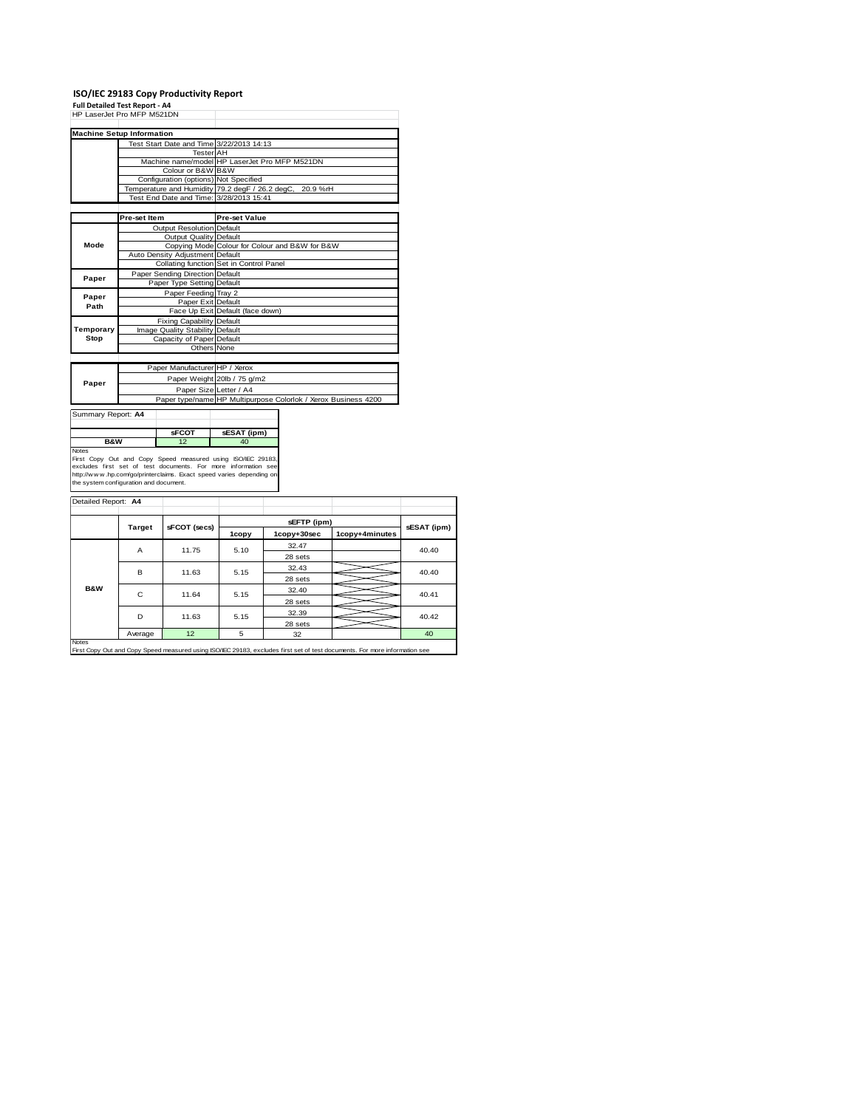# **ISO/IEC 29183 Copy Productivity Report Full Detailed Test Report - A4** HP LaserJet Pro MFP M521DN

| HP LaserJet Pro MFP M521DN             |                                                              |                                                                                                                               |                      |                                                                |                |             |  |
|----------------------------------------|--------------------------------------------------------------|-------------------------------------------------------------------------------------------------------------------------------|----------------------|----------------------------------------------------------------|----------------|-------------|--|
| <b>Machine Setup Information</b>       |                                                              |                                                                                                                               |                      |                                                                |                |             |  |
|                                        |                                                              | Test Start Date and Time 3/22/2013 14:13                                                                                      |                      |                                                                |                |             |  |
|                                        |                                                              | <b>Tester AH</b>                                                                                                              |                      |                                                                |                |             |  |
|                                        |                                                              |                                                                                                                               |                      | Machine name/model HP LaserJet Pro MFP M521DN                  |                |             |  |
|                                        |                                                              | Colour or B&W B&W                                                                                                             |                      |                                                                |                |             |  |
|                                        |                                                              | Configuration (options) Not Specified                                                                                         |                      |                                                                |                |             |  |
|                                        |                                                              | Temperature and Humidity 79.2 degF / 26.2 degC,                                                                               |                      | 20.9 %rH                                                       |                |             |  |
|                                        |                                                              | Test End Date and Time: 3/28/2013 15:41                                                                                       |                      |                                                                |                |             |  |
|                                        |                                                              |                                                                                                                               |                      |                                                                |                |             |  |
|                                        | Pre-set Item                                                 |                                                                                                                               | <b>Pre-set Value</b> |                                                                |                |             |  |
|                                        |                                                              | Output Resolution Default                                                                                                     |                      |                                                                |                |             |  |
|                                        |                                                              | Output Quality Default                                                                                                        |                      |                                                                |                |             |  |
| Mode                                   |                                                              |                                                                                                                               |                      | Copying Mode Colour for Colour and B&W for B&W                 |                |             |  |
|                                        |                                                              | Auto Density Adjustment Default                                                                                               |                      |                                                                |                |             |  |
|                                        |                                                              | Collating function Set in Control Panel                                                                                       |                      |                                                                |                |             |  |
| Paper                                  |                                                              | Paper Sending Direction Default                                                                                               |                      |                                                                |                |             |  |
|                                        |                                                              | Paper Type Setting Default                                                                                                    |                      |                                                                |                |             |  |
| Paper                                  |                                                              | Paper Feeding Tray 2                                                                                                          |                      |                                                                |                |             |  |
| Path                                   |                                                              | Paper Exit Default                                                                                                            |                      |                                                                |                |             |  |
|                                        | Face Up Exit Default (face down)                             |                                                                                                                               |                      |                                                                |                |             |  |
|                                        | Fixing Capability Default<br>Image Quality Stability Default |                                                                                                                               |                      |                                                                |                |             |  |
| Temporary<br>Stop                      |                                                              |                                                                                                                               |                      |                                                                |                |             |  |
|                                        |                                                              | Capacity of Paper Default<br>Others None                                                                                      |                      |                                                                |                |             |  |
|                                        |                                                              |                                                                                                                               |                      |                                                                |                |             |  |
|                                        |                                                              | Paper Manufacturer HP / Xerox                                                                                                 |                      |                                                                |                |             |  |
|                                        |                                                              |                                                                                                                               |                      |                                                                |                |             |  |
| Paper                                  | Paper Weight 20lb / 75 g/m2                                  |                                                                                                                               |                      |                                                                |                |             |  |
|                                        |                                                              | Paper Size Letter / A4                                                                                                        |                      |                                                                |                |             |  |
|                                        |                                                              |                                                                                                                               |                      | Paper type/name HP Multipurpose Colorlok / Xerox Business 4200 |                |             |  |
| Summary Report: A4                     |                                                              |                                                                                                                               |                      |                                                                |                |             |  |
|                                        |                                                              |                                                                                                                               |                      |                                                                |                |             |  |
|                                        |                                                              | sFCOT                                                                                                                         | sESAT (ipm)          |                                                                |                |             |  |
| B&W                                    |                                                              | 12                                                                                                                            | 40                   |                                                                |                |             |  |
| <b>Notes</b>                           |                                                              |                                                                                                                               |                      |                                                                |                |             |  |
|                                        |                                                              | First Copy Out and Copy Speed measured using ISO/IEC 29183,<br>excludes first set of test documents. For more information see |                      |                                                                |                |             |  |
|                                        |                                                              | http://www.hp.com/go/printerclaims. Exact speed varies depending on                                                           |                      |                                                                |                |             |  |
| the system configuration and document. |                                                              |                                                                                                                               |                      |                                                                |                |             |  |
|                                        |                                                              |                                                                                                                               |                      |                                                                |                |             |  |
| Detailed Report: A4                    |                                                              |                                                                                                                               |                      |                                                                |                |             |  |
|                                        |                                                              |                                                                                                                               |                      |                                                                |                |             |  |
|                                        |                                                              |                                                                                                                               |                      | sEFTP (ipm)                                                    |                |             |  |
|                                        | <b>Target</b>                                                | sFCOT (secs)                                                                                                                  | 1copy                | 1copy+30sec                                                    | 1copy+4minutes | sESAT (ipm) |  |
|                                        |                                                              |                                                                                                                               |                      | 32.47                                                          |                |             |  |
|                                        | A                                                            | 11.75                                                                                                                         | 5.10                 |                                                                |                | 40.40       |  |
|                                        |                                                              |                                                                                                                               |                      | 28 sets                                                        |                |             |  |
|                                        | B                                                            | 11.63                                                                                                                         | 5.15                 | 32.43                                                          |                | 40.40       |  |
|                                        |                                                              |                                                                                                                               |                      | 28 sets                                                        |                |             |  |
| <b>B&amp;W</b>                         | C                                                            | 11.64                                                                                                                         | 5.15                 | 32.40                                                          |                | 40.41       |  |
|                                        |                                                              |                                                                                                                               |                      | 28 sets                                                        |                |             |  |
|                                        |                                                              |                                                                                                                               |                      | 32.39                                                          |                |             |  |
|                                        | D                                                            | 11.63                                                                                                                         | 5.15                 |                                                                |                | 40.42       |  |

Average 12 5 32 40 Notes

28 sets

ing ISO/IEC 29183, excludes first set of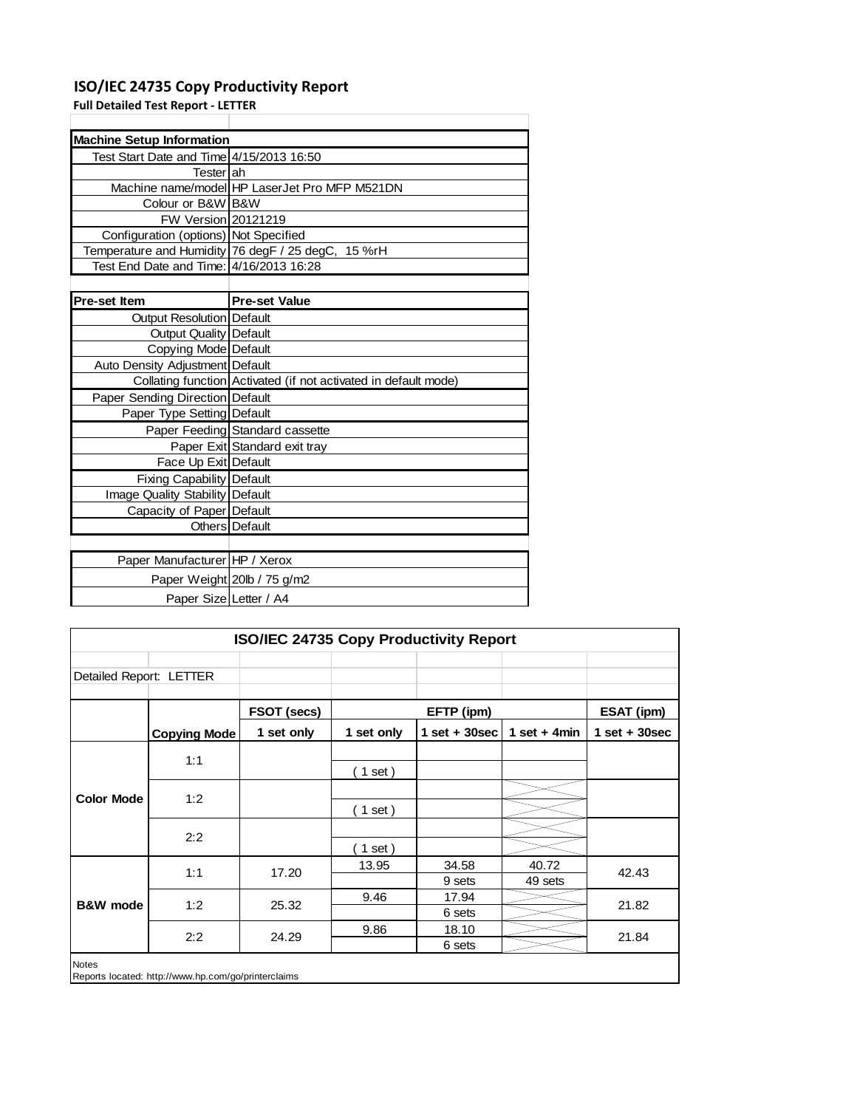#### **ISO/IEC 24735 Copy Productivity Report**

**Full Detailed Test Report ‐ LETTER**

| <b>Machine Setup Information</b>         |                                                                 |
|------------------------------------------|-----------------------------------------------------------------|
| Test Start Date and Time 4/15/2013 16:50 |                                                                 |
| Testerlah                                |                                                                 |
|                                          | Machine name/model HP LaserJet Pro MFP M521DN                   |
| Colour or B&W B&W                        |                                                                 |
| FW Version 20121219                      |                                                                 |
| Configuration (options) Not Specified    |                                                                 |
|                                          | Temperature and Humidity 76 degF / 25 degC, 15 %rH              |
| Test End Date and Time: 4/16/2013 16:28  |                                                                 |
|                                          |                                                                 |
| <b>Pre-set Item</b>                      | <b>Pre-set Value</b>                                            |
| Output Resolution Default                |                                                                 |
| Output Quality   Default                 |                                                                 |
| Copying Mode Default                     |                                                                 |
| Auto Density Adjustment Default          |                                                                 |
|                                          | Collating function Activated (if not activated in default mode) |
| Paper Sending Direction Default          |                                                                 |
| Paper Type Setting Default               |                                                                 |
|                                          | Paper Feeding Standard cassette                                 |
|                                          | Paper Exit Standard exit tray                                   |
| Face Up Exit Default                     |                                                                 |
| Fixing Capability Default                |                                                                 |
| Image Quality Stability Default          |                                                                 |
| Capacity of Paper Default                |                                                                 |
|                                          | Others Default                                                  |
|                                          |                                                                 |
| Paper Manufacturer HP / Xerox            |                                                                 |
|                                          | Paper Weight 20lb / 75 g/m2                                     |
| Paper Size Letter / A4                   |                                                                 |

| ISO/IEC 24735 Copy Productivity Report |                                                     |             |            |                  |                |                 |
|----------------------------------------|-----------------------------------------------------|-------------|------------|------------------|----------------|-----------------|
|                                        |                                                     |             |            |                  |                |                 |
| Detailed Report: LETTER                |                                                     |             |            |                  |                |                 |
|                                        |                                                     | FSOT (secs) |            | EFTP (ipm)       |                | ESAT (ipm)      |
|                                        | <b>Copying Mode</b>                                 | 1 set only  | 1 set only | 1 set + $30$ sec | 1 set $+$ 4min | $1$ set + 30sec |
|                                        | 1:1                                                 |             |            |                  |                |                 |
|                                        |                                                     |             | ( 1 set )  |                  |                |                 |
| <b>Color Mode</b>                      | 1:2                                                 |             |            |                  |                |                 |
|                                        |                                                     |             | (1 set)    |                  |                |                 |
|                                        | 2:2                                                 |             |            |                  |                |                 |
|                                        |                                                     |             | ( 1 set )  |                  |                |                 |
|                                        | 1:1                                                 | 17.20       | 13.95      | 34.58            | 40.72          | 42.43           |
|                                        |                                                     |             |            | 9 sets           | 49 sets        |                 |
| <b>B&amp;W</b> mode                    | 1:2                                                 | 25.32       | 9.46       | 17.94            |                | 21.82           |
|                                        |                                                     |             |            | 6 sets           |                |                 |
|                                        | 2:2                                                 | 24.29       | 9.86       | 18.10            |                | 21.84           |
|                                        |                                                     |             |            | 6 sets           |                |                 |
| <b>Notes</b>                           | Reports located: http://www.hp.com/go/printerclaims |             |            |                  |                |                 |